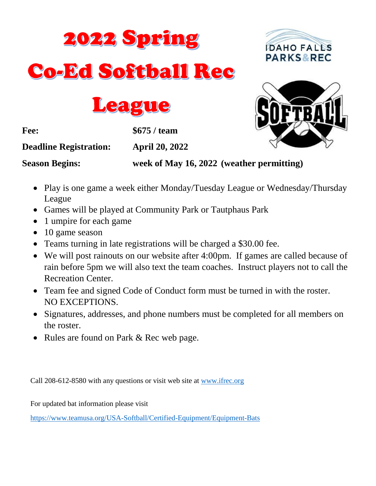





**Fee: \$675 / team**

**Deadline Registration: April 20, 2022**

**Season Begins: week of May 16, 2022 (weather permitting)**

- Play is one game a week either Monday/Tuesday League or Wednesday/Thursday League
- Games will be played at Community Park or Tautphaus Park
- 1 umpire for each game
- 10 game season
- Teams turning in late registrations will be charged a \$30.00 fee.
- We will post rainouts on our website after 4:00pm. If games are called because of rain before 5pm we will also text the team coaches. Instruct players not to call the Recreation Center.
- Team fee and signed Code of Conduct form must be turned in with the roster. NO EXCEPTIONS.
- Signatures, addresses, and phone numbers must be completed for all members on the roster.
- Rules are found on Park & Rec web page.

Call 208-612-8580 with any questions or visit web site at [www.ifrec.org](http://www.ifrec.org/)

For updated bat information please visit

<https://www.teamusa.org/USA-Softball/Certified-Equipment/Equipment-Bats>

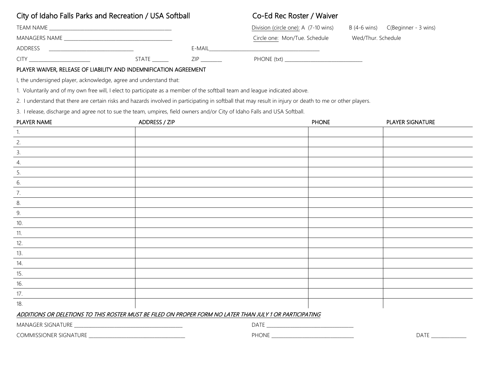# City of Idaho Falls Parks and Recreation / USA Softball Co-Ed Rec Roster / Waiver

| TEAM NAME     |       |        | Division (circle one): A (7-10 wins) |                    | $B(4-6 \text{ wins})$ $C(Beginner - 3 \text{ wins})$ |
|---------------|-------|--------|--------------------------------------|--------------------|------------------------------------------------------|
| MANAGERS NAME |       |        | Circle one: Mon/Tue. Schedule        | Wed/Thur. Schedule |                                                      |
| ADDRESS       |       | E-MAIL |                                      |                    |                                                      |
| CITY          | STATE | ZIP    | PHONE (txt)                          |                    |                                                      |

# PLAYER WAIVER, RELEASE OF LIABILITY AND INDEMNIFICATION AGREEMENT

I, the undersigned player, acknowledge, agree and understand that:

1. Voluntarily and of my own free will, I elect to participate as a member of the softball team and league indicated above.

2. I understand that there are certain risks and hazards involved in participating in softball that may result in injury or death to me or other players.

3. I release, discharge and agree not to sue the team, umpires, field owners and/or City of Idaho Falls and USA Softball.

| PLAYER NAME   | ADDRESS / ZIP | <b>PHONE</b> | PLAYER SIGNATURE |
|---------------|---------------|--------------|------------------|
| 1.            |               |              |                  |
| 2.            |               |              |                  |
| $\frac{3}{2}$ |               |              |                  |
| 4.            |               |              |                  |
| 5.            |               |              |                  |
| 6.            |               |              |                  |
| 7.            |               |              |                  |
| 8.            |               |              |                  |
| $\frac{9}{2}$ |               |              |                  |
| 10.           |               |              |                  |
| 11.           |               |              |                  |
| 12.           |               |              |                  |
| 13.           |               |              |                  |
| 14.           |               |              |                  |
| 15.           |               |              |                  |
| 16.<br>—      |               |              |                  |
| 17.           |               |              |                  |
| 18.           |               |              |                  |

# ADDITIONS OR DELETIONS TO THIS ROSTER MUST BE FILED ON PROPER FORM NO LATER THAN JULY 1 OR PARTICIPATING

MANAGER SIGNATURE \_\_\_\_\_\_\_\_\_\_\_\_\_\_\_\_\_\_\_\_\_\_\_\_\_\_\_\_\_\_\_\_\_\_\_\_\_\_\_\_\_\_\_\_\_\_ DATE \_\_\_\_\_\_\_\_\_\_\_\_\_\_\_\_\_\_\_\_\_\_\_\_\_\_\_\_\_\_\_\_\_\_\_\_\_

COMMISSIONER SIGNATURE \_\_\_\_\_\_\_\_\_\_\_\_\_\_\_\_\_\_\_\_\_\_\_\_\_\_\_\_\_\_\_\_\_\_\_\_\_\_\_\_\_ PHONE \_\_\_\_\_\_\_\_\_\_\_\_\_\_\_\_\_\_\_\_\_\_\_\_\_\_\_\_\_\_\_\_\_\_\_ DATE \_\_\_\_\_\_\_\_\_\_\_\_\_\_\_